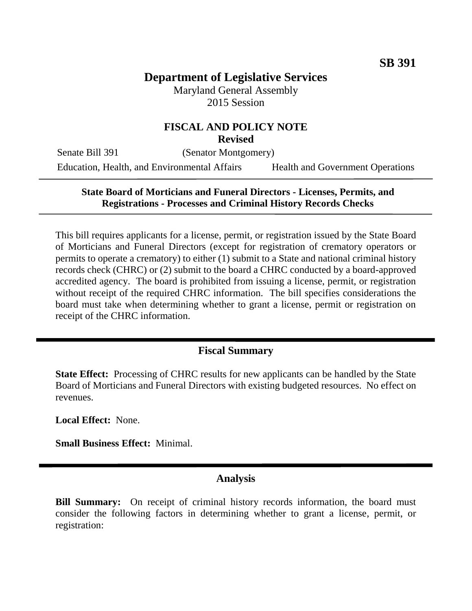### **Department of Legislative Services** Maryland General Assembly

2015 Session

#### **FISCAL AND POLICY NOTE Revised**

Senate Bill 391 (Senator Montgomery) Education, Health, and Environmental Affairs Health and Government Operations

### **State Board of Morticians and Funeral Directors - Licenses, Permits, and Registrations - Processes and Criminal History Records Checks**

This bill requires applicants for a license, permit, or registration issued by the State Board of Morticians and Funeral Directors (except for registration of crematory operators or permits to operate a crematory) to either (1) submit to a State and national criminal history records check (CHRC) or (2) submit to the board a CHRC conducted by a board-approved accredited agency. The board is prohibited from issuing a license, permit, or registration without receipt of the required CHRC information. The bill specifies considerations the board must take when determining whether to grant a license, permit or registration on receipt of the CHRC information.

### **Fiscal Summary**

**State Effect:** Processing of CHRC results for new applicants can be handled by the State Board of Morticians and Funeral Directors with existing budgeted resources. No effect on revenues.

**Local Effect:** None.

**Small Business Effect:** Minimal.

#### **Analysis**

**Bill Summary:** On receipt of criminal history records information, the board must consider the following factors in determining whether to grant a license, permit, or registration: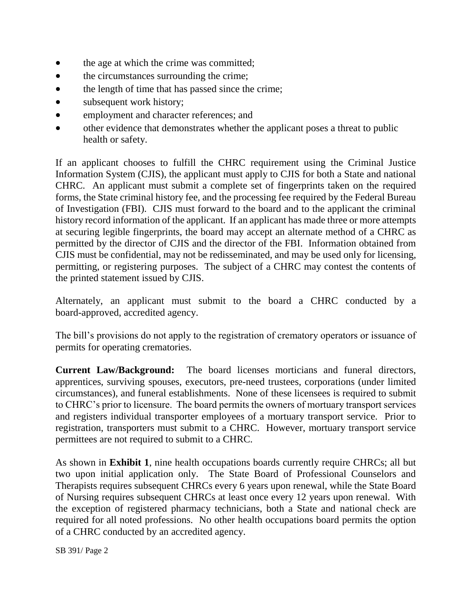- the age at which the crime was committed;
- the circumstances surrounding the crime;
- the length of time that has passed since the crime;
- subsequent work history;
- employment and character references; and
- other evidence that demonstrates whether the applicant poses a threat to public health or safety.

If an applicant chooses to fulfill the CHRC requirement using the Criminal Justice Information System (CJIS), the applicant must apply to CJIS for both a State and national CHRC. An applicant must submit a complete set of fingerprints taken on the required forms, the State criminal history fee, and the processing fee required by the Federal Bureau of Investigation (FBI). CJIS must forward to the board and to the applicant the criminal history record information of the applicant. If an applicant has made three or more attempts at securing legible fingerprints, the board may accept an alternate method of a CHRC as permitted by the director of CJIS and the director of the FBI. Information obtained from CJIS must be confidential, may not be redisseminated, and may be used only for licensing, permitting, or registering purposes. The subject of a CHRC may contest the contents of the printed statement issued by CJIS.

Alternately, an applicant must submit to the board a CHRC conducted by a board-approved, accredited agency.

The bill's provisions do not apply to the registration of crematory operators or issuance of permits for operating crematories.

**Current Law/Background:** The board licenses morticians and funeral directors, apprentices, surviving spouses, executors, pre-need trustees, corporations (under limited circumstances), and funeral establishments. None of these licensees is required to submit to CHRC's prior to licensure. The board permits the owners of mortuary transport services and registers individual transporter employees of a mortuary transport service. Prior to registration, transporters must submit to a CHRC. However, mortuary transport service permittees are not required to submit to a CHRC.

As shown in **Exhibit 1**, nine health occupations boards currently require CHRCs; all but two upon initial application only. The State Board of Professional Counselors and Therapists requires subsequent CHRCs every 6 years upon renewal, while the State Board of Nursing requires subsequent CHRCs at least once every 12 years upon renewal. With the exception of registered pharmacy technicians, both a State and national check are required for all noted professions. No other health occupations board permits the option of a CHRC conducted by an accredited agency.

SB 391/ Page 2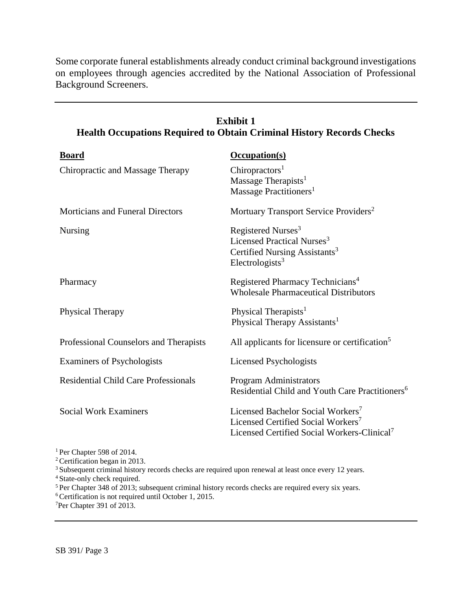Some corporate funeral establishments already conduct criminal background investigations on employees through agencies accredited by the National Association of Professional Background Screeners.

| <b>Board</b>                                | <b>Occupation(s)</b>                                        |
|---------------------------------------------|-------------------------------------------------------------|
| Chiropractic and Massage Therapy            | Chiropractors <sup>1</sup>                                  |
|                                             | Massage Therapists <sup>1</sup>                             |
|                                             | Massage Practitioners <sup>1</sup>                          |
| <b>Morticians and Funeral Directors</b>     | Mortuary Transport Service Providers <sup>2</sup>           |
| <b>Nursing</b>                              | Registered Nurses <sup>3</sup>                              |
|                                             | Licensed Practical Nurses <sup>3</sup>                      |
|                                             | Certified Nursing Assistants <sup>3</sup>                   |
|                                             | Electrologists <sup>3</sup>                                 |
| Pharmacy                                    | Registered Pharmacy Technicians <sup>4</sup>                |
|                                             | <b>Wholesale Pharmaceutical Distributors</b>                |
| Physical Therapy                            | Physical Therapists <sup>1</sup>                            |
|                                             | Physical Therapy Assistants <sup>1</sup>                    |
| Professional Counselors and Therapists      | All applicants for licensure or certification <sup>5</sup>  |
| Examiners of Psychologists                  | Licensed Psychologists                                      |
| <b>Residential Child Care Professionals</b> | Program Administrators                                      |
|                                             | Residential Child and Youth Care Practitioners <sup>6</sup> |
| <b>Social Work Examiners</b>                | Licensed Bachelor Social Workers <sup>7</sup>               |
|                                             | Licensed Certified Social Workers <sup>7</sup>              |
|                                             | Licensed Certified Social Workers-Clinical <sup>7</sup>     |
|                                             |                                                             |

## **Exhibit 1 Health Occupations Required to Obtain Criminal History Records Checks**

<sup>1</sup> Per Chapter 598 of 2014.

<sup>2</sup>Certification began in 2013.

<sup>3</sup> Subsequent criminal history records checks are required upon renewal at least once every 12 years.

<sup>4</sup>State-only check required.

<sup>5</sup>Per Chapter 348 of 2013; subsequent criminal history records checks are required every six years.

<sup>6</sup>Certification is not required until October 1, 2015.

7Per Chapter 391 of 2013.